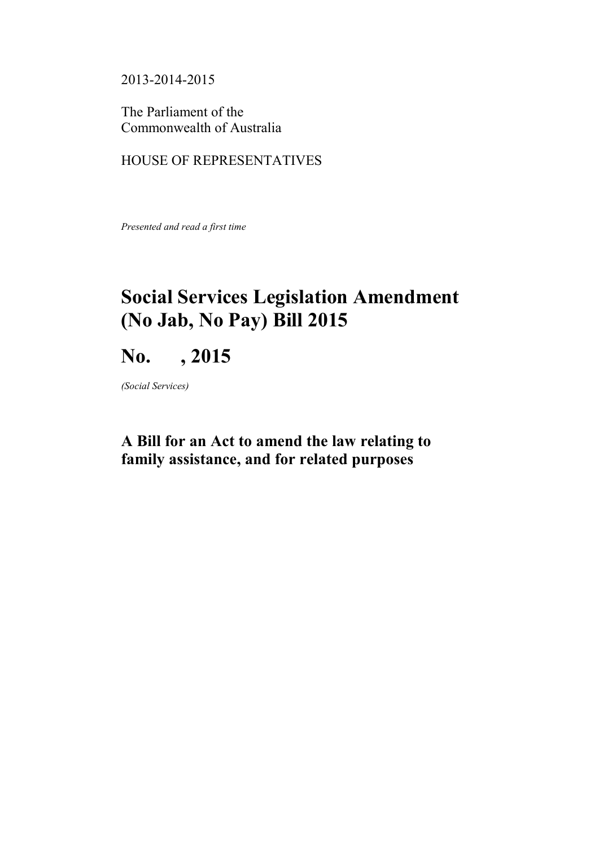2013-2014-2015

The Parliament of the Commonwealth of Australia

# HOUSE OF REPRESENTATIVES

*Presented and read a first time*

# **Social Services Legislation Amendment (No Jab, No Pay) Bill 2015**

# **No. , 2015**

*(Social Services)*

# **A Bill for an Act to amend the law relating to family assistance, and for related purposes**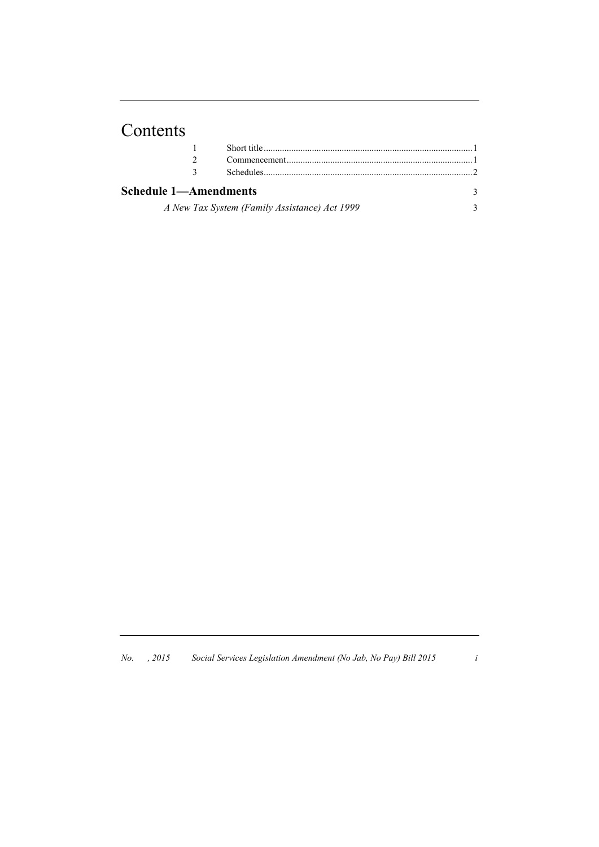# Contents

| Schedule 1—Amendments |                                               | $\mathbf{R}$ |
|-----------------------|-----------------------------------------------|--------------|
|                       | A New Tax System (Family Assistance) Act 1999 | $\mathbf{a}$ |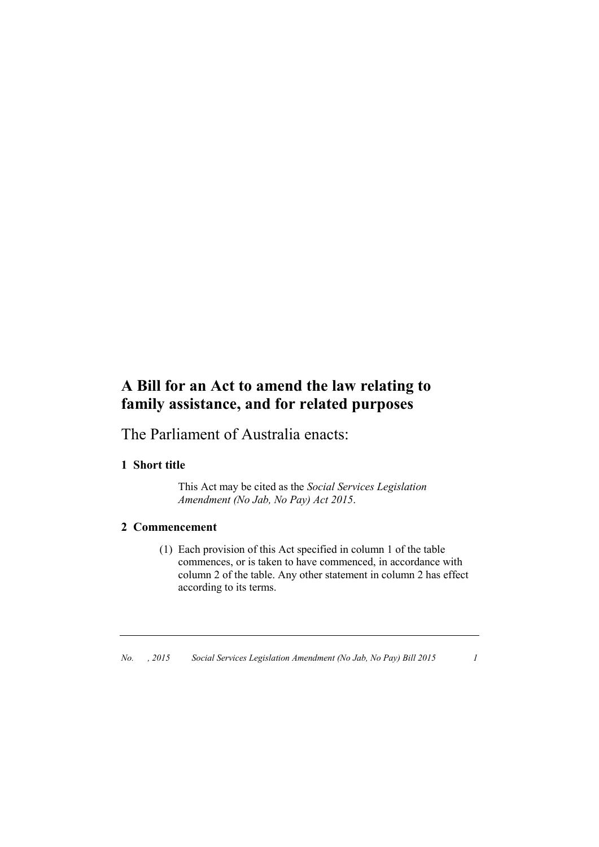# **A Bill for an Act to amend the law relating to family assistance, and for related purposes**

The Parliament of Australia enacts:

# **1 Short title**

This Act may be cited as the *Social Services Legislation Amendment (No Jab, No Pay) Act 2015*.

# **2 Commencement**

(1) Each provision of this Act specified in column 1 of the table commences, or is taken to have commenced, in accordance with column 2 of the table. Any other statement in column 2 has effect according to its terms.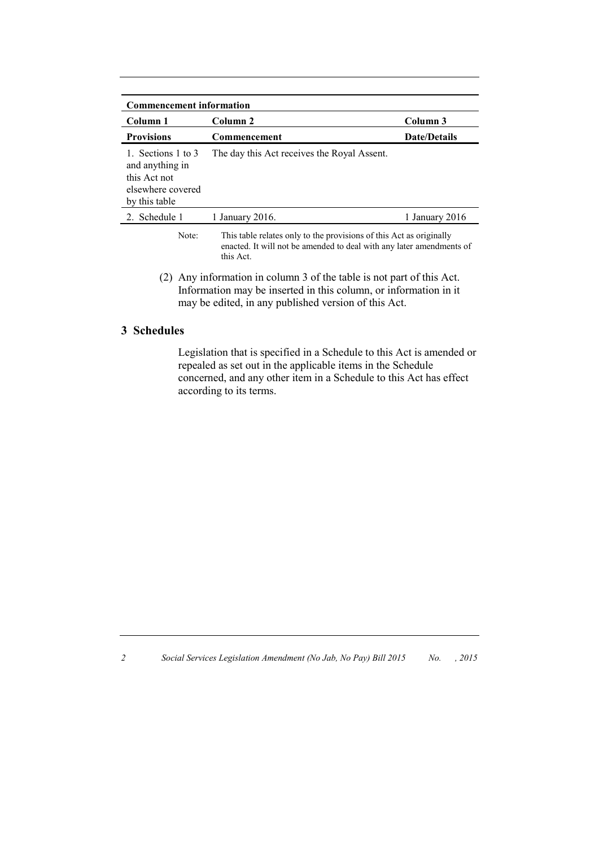| <b>Commencement information</b>                                                             |                                                                     |                     |
|---------------------------------------------------------------------------------------------|---------------------------------------------------------------------|---------------------|
| Column 1                                                                                    | Column <sub>2</sub>                                                 | Column 3            |
| <b>Provisions</b>                                                                           | Commencement                                                        | <b>Date/Details</b> |
| 1. Sections 1 to 3<br>and anything in<br>this Act not<br>elsewhere covered<br>by this table | The day this Act receives the Royal Assent.                         |                     |
| 2. Schedule 1                                                                               | 1 January 2016.                                                     | 1 January 2016      |
| Note:                                                                                       | This table relates only to the provisions of this Act as originally |                     |

- enacted. It will not be amended to deal with any later amendments of this Act.
- (2) Any information in column 3 of the table is not part of this Act. Information may be inserted in this column, or information in it may be edited, in any published version of this Act.

## **3 Schedules**

Legislation that is specified in a Schedule to this Act is amended or repealed as set out in the applicable items in the Schedule concerned, and any other item in a Schedule to this Act has effect according to its terms.

*2 Social Services Legislation Amendment (No Jab, No Pay) Bill 2015 No. , 2015*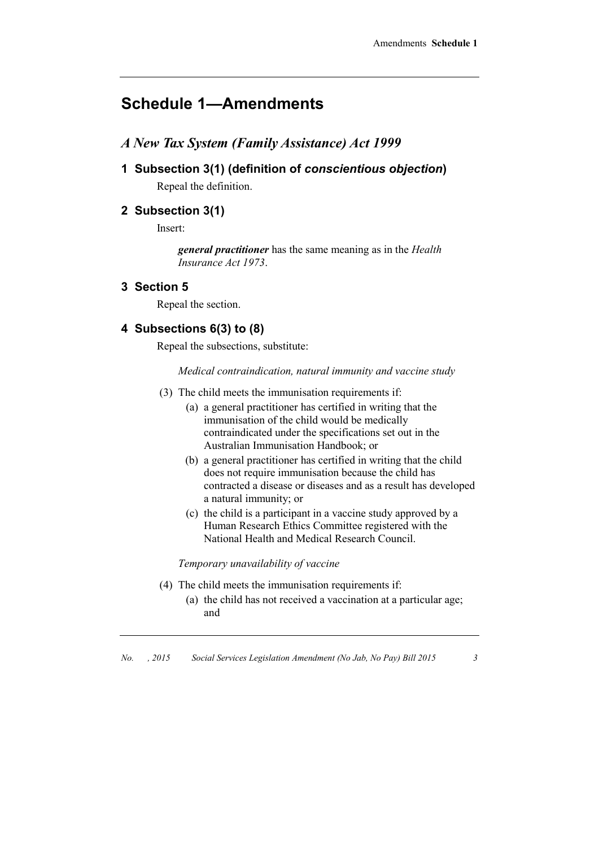# **Schedule 1—Amendments**

- *A New Tax System (Family Assistance) Act 1999*
- **1 Subsection 3(1) (definition of** *conscientious objection***)** Repeal the definition.

## **2 Subsection 3(1)**

Insert:

*general practitioner* has the same meaning as in the *Health Insurance Act 1973*.

#### **3 Section 5**

Repeal the section.

### **4 Subsections 6(3) to (8)**

Repeal the subsections, substitute:

*Medical contraindication, natural immunity and vaccine study*

- (3) The child meets the immunisation requirements if:
	- (a) a general practitioner has certified in writing that the immunisation of the child would be medically contraindicated under the specifications set out in the Australian Immunisation Handbook; or
	- (b) a general practitioner has certified in writing that the child does not require immunisation because the child has contracted a disease or diseases and as a result has developed a natural immunity; or
	- (c) the child is a participant in a vaccine study approved by a Human Research Ethics Committee registered with the National Health and Medical Research Council.

*Temporary unavailability of vaccine*

- (4) The child meets the immunisation requirements if:
	- (a) the child has not received a vaccination at a particular age; and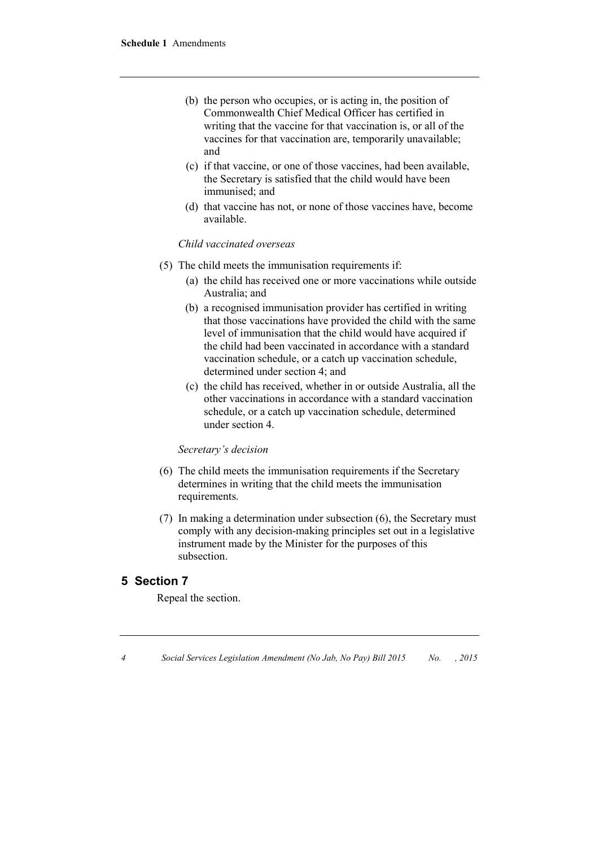- (b) the person who occupies, or is acting in, the position of Commonwealth Chief Medical Officer has certified in writing that the vaccine for that vaccination is, or all of the vaccines for that vaccination are, temporarily unavailable; and
- (c) if that vaccine, or one of those vaccines, had been available, the Secretary is satisfied that the child would have been immunised; and
- (d) that vaccine has not, or none of those vaccines have, become available.

#### *Child vaccinated overseas*

- (5) The child meets the immunisation requirements if:
	- (a) the child has received one or more vaccinations while outside Australia; and
	- (b) a recognised immunisation provider has certified in writing that those vaccinations have provided the child with the same level of immunisation that the child would have acquired if the child had been vaccinated in accordance with a standard vaccination schedule, or a catch up vaccination schedule, determined under section 4; and
	- (c) the child has received, whether in or outside Australia, all the other vaccinations in accordance with a standard vaccination schedule, or a catch up vaccination schedule, determined under section 4.

#### *Secretary's decision*

- (6) The child meets the immunisation requirements if the Secretary determines in writing that the child meets the immunisation requirements.
- (7) In making a determination under subsection (6), the Secretary must comply with any decision-making principles set out in a legislative instrument made by the Minister for the purposes of this subsection.

#### **5 Section 7**

Repeal the section.

*4 Social Services Legislation Amendment (No Jab, No Pay) Bill 2015 No. , 2015*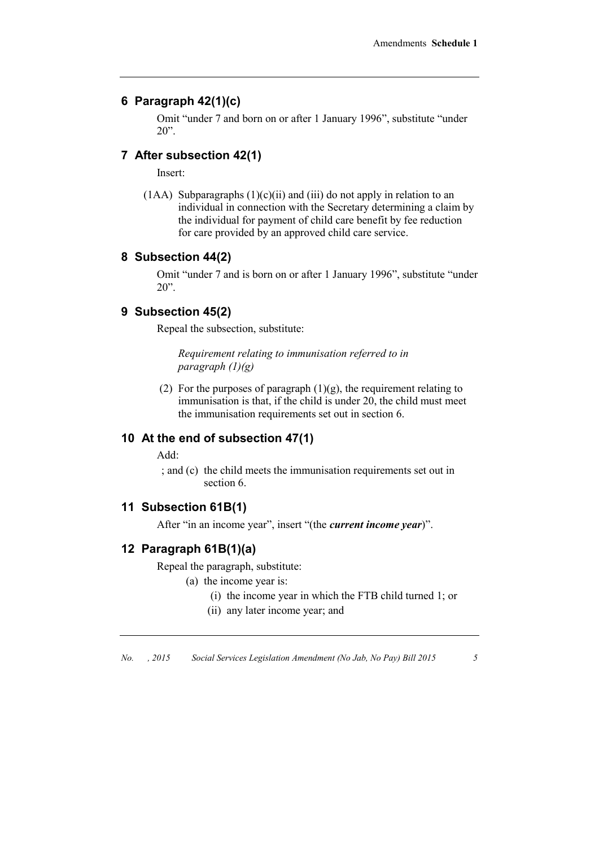#### **6 Paragraph 42(1)(c)**

Omit "under 7 and born on or after 1 January 1996", substitute "under  $20$ ".

#### **7 After subsection 42(1)**

Insert:

(1AA) Subparagraphs  $(1)(c)(ii)$  and  $(iii)$  do not apply in relation to an individual in connection with the Secretary determining a claim by the individual for payment of child care benefit by fee reduction for care provided by an approved child care service.

#### **8 Subsection 44(2)**

Omit "under 7 and is born on or after 1 January 1996", substitute "under 20".

#### **9 Subsection 45(2)**

Repeal the subsection, substitute:

*Requirement relating to immunisation referred to in paragraph (1)(g)*

(2) For the purposes of paragraph  $(1)(g)$ , the requirement relating to immunisation is that, if the child is under 20, the child must meet the immunisation requirements set out in section 6.

# **10 At the end of subsection 47(1)**

Add:

; and (c) the child meets the immunisation requirements set out in section 6.

## **11 Subsection 61B(1)**

After "in an income year", insert "(the *current income year*)".

#### **12 Paragraph 61B(1)(a)**

Repeal the paragraph, substitute:

(a) the income year is:

- (i) the income year in which the FTB child turned 1; or
- (ii) any later income year; and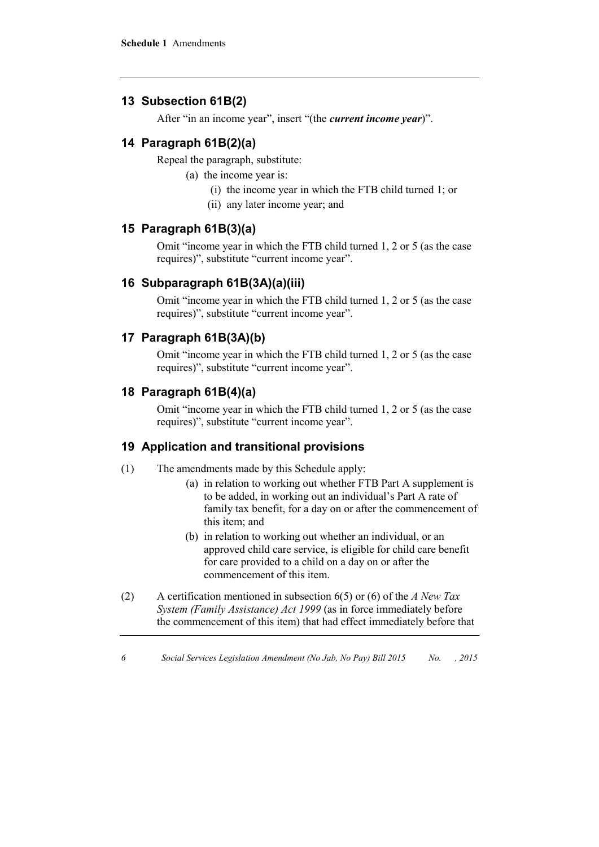# **13 Subsection 61B(2)**

After "in an income year", insert "(the *current income year*)".

# **14 Paragraph 61B(2)(a)**

Repeal the paragraph, substitute:

(a) the income year is:

- (i) the income year in which the FTB child turned 1; or
- (ii) any later income year; and

# **15 Paragraph 61B(3)(a)**

Omit "income year in which the FTB child turned 1, 2 or 5 (as the case requires)", substitute "current income year".

# **16 Subparagraph 61B(3A)(a)(iii)**

Omit "income year in which the FTB child turned 1, 2 or 5 (as the case requires)", substitute "current income year".

# **17 Paragraph 61B(3A)(b)**

Omit "income year in which the FTB child turned 1, 2 or 5 (as the case requires)", substitute "current income year".

# **18 Paragraph 61B(4)(a)**

Omit "income year in which the FTB child turned 1, 2 or 5 (as the case requires)", substitute "current income year".

# **19 Application and transitional provisions**

- (1) The amendments made by this Schedule apply:
	- (a) in relation to working out whether FTB Part A supplement is to be added, in working out an individual's Part A rate of family tax benefit, for a day on or after the commencement of this item; and
	- (b) in relation to working out whether an individual, or an approved child care service, is eligible for child care benefit for care provided to a child on a day on or after the commencement of this item.
- (2) A certification mentioned in subsection 6(5) or (6) of the *A New Tax System (Family Assistance) Act 1999* (as in force immediately before the commencement of this item) that had effect immediately before that

*6 Social Services Legislation Amendment (No Jab, No Pay) Bill 2015 No. , 2015*